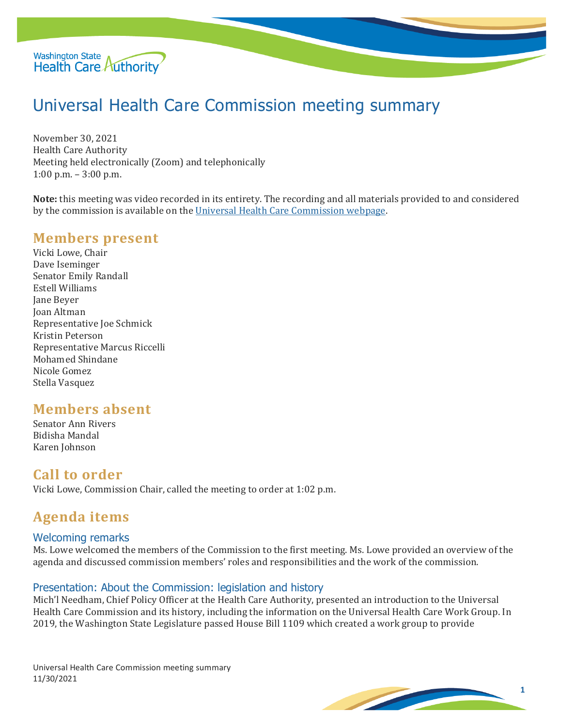

# Universal Health Care Commission meeting summary

November 30, 2021 Health Care Authority Meeting held electronically (Zoom) and telephonically 1:00 p.m. – 3:00 p.m.

**Note:** this meeting was video recorded in its entirety. The recording and all materials provided to and considered by the commission is available on the [Universal Health Care Commission webpage.](file://HCAFLCSP002/SECURED/DPA%20Policy/Cost%20Board/Minutes/Universal%20Health%20Care%20Commission%20webpage)

## **Members present**

Vicki Lowe, Chair Dave Iseminger Senator Emily Randall Estell Williams Jane Beyer Joan Altman Representative Joe Schmick Kristin Peterson Representative Marcus Riccelli Mohamed Shindane Nicole Gomez Stella Vasquez

# **Members absent**

Senator Ann Rivers Bidisha Mandal Karen Johnson

## **Call to order**

Vicki Lowe, Commission Chair, called the meeting to order at 1:02 p.m.

# **Agenda items**

#### Welcoming remarks

Ms. Lowe welcomed the members of the Commission to the first meeting. Ms. Lowe provided an overview of the agenda and discussed commission members' roles and responsibilities and the work of the commission.

#### Presentation: About the Commission: legislation and history

Mich'l Needham, Chief Policy Officer at the Health Care Authority, presented an introduction to the Universal Health Care Commission and its history, including the information on the Universal Health Care Work Group. In 2019, the Washington State Legislature passed House Bill 1109 which created a work group to provide

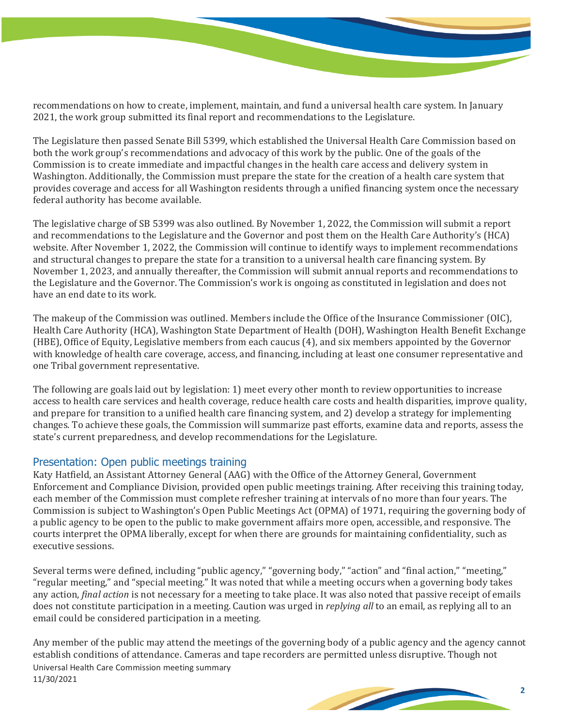recommendations on how to create, implement, maintain, and fund a universal health care system. In January 2021, the work group submitted its final report and recommendations to the Legislature.

The Legislature then passed Senate Bill 5399, which established the Universal Health Care Commission based on both the work group's recommendations and advocacy of this work by the public. One of the goals of the Commission is to create immediate and impactful changes in the health care access and delivery system in Washington. Additionally, the Commission must prepare the state for the creation of a health care system that provides coverage and access for all Washington residents through a unified financing system once the necessary federal authority has become available.

The legislative charge of SB 5399 was also outlined. By November 1, 2022, the Commission will submit a report and recommendations to the Legislature and the Governor and post them on the Health Care Authority's (HCA) website. After November 1, 2022, the Commission will continue to identify ways to implement recommendations and structural changes to prepare the state for a transition to a universal health care financing system. By November 1, 2023, and annually thereafter, the Commission will submit annual reports and recommendations to the Legislature and the Governor. The Commission's work is ongoing as constituted in legislation and does not have an end date to its work.

The makeup of the Commission was outlined. Members include the Office of the Insurance Commissioner (OIC), Health Care Authority (HCA), Washington State Department of Health (DOH), Washington Health Benefit Exchange (HBE), Office of Equity, Legislative members from each caucus (4), and six members appointed by the Governor with knowledge of health care coverage, access, and financing, including at least one consumer representative and one Tribal government representative.

The following are goals laid out by legislation: 1) meet every other month to review opportunities to increase access to health care services and health coverage, reduce health care costs and health disparities, improve quality, and prepare for transition to a unified health care financing system, and 2) develop a strategy for implementing changes. To achieve these goals, the Commission will summarize past efforts, examine data and reports, assess the state's current preparedness, and develop recommendations for the Legislature.

#### Presentation: Open public meetings training

Katy Hatfield, an Assistant Attorney General (AAG) with the Office of the Attorney General, Government Enforcement and Compliance Division, provided open public meetings training. After receiving this training today, each member of the Commission must complete refresher training at intervals of no more than four years. The Commission is subject to Washington's Open Public Meetings Act (OPMA) of 1971, requiring the governing body of a public agency to be open to the public to make government affairs more open, accessible, and responsive. The courts interpret the OPMA liberally, except for when there are grounds for maintaining confidentiality, such as executive sessions.

Several terms were defined, including "public agency," "governing body," "action" and "final action," "meeting," "regular meeting," and "special meeting." It was noted that while a meeting occurs when a governing body takes any action, *final action* is not necessary for a meeting to take place. It was also noted that passive receipt of emails does not constitute participation in a meeting. Caution was urged in *replying all* to an email, as replying all to an email could be considered participation in a meeting.

Universal Health Care Commission meeting summary 11/30/2021 Any member of the public may attend the meetings of the governing body of a public agency and the agency cannot establish conditions of attendance. Cameras and tape recorders are permitted unless disruptive. Though not



**2**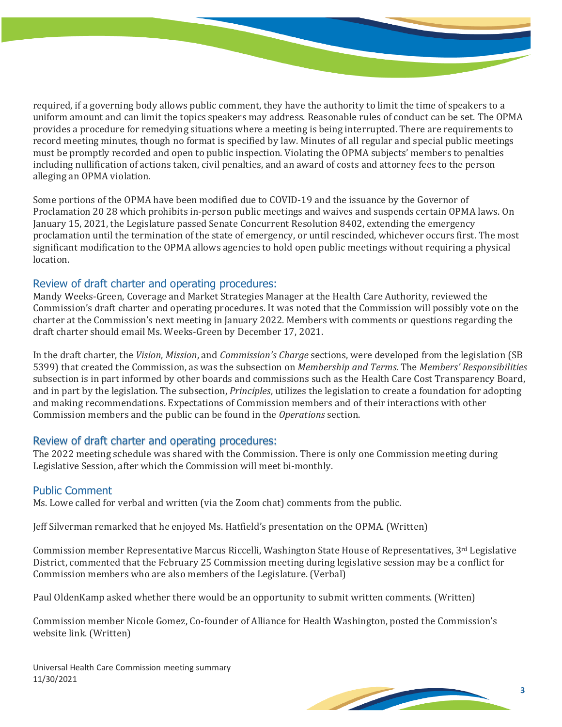required, if a governing body allows public comment, they have the authority to limit the time of speakers to a uniform amount and can limit the topics speakers may address. Reasonable rules of conduct can be set. The OPMA provides a procedure for remedying situations where a meeting is being interrupted. There are requirements to record meeting minutes, though no format is specified by law. Minutes of all regular and special public meetings must be promptly recorded and open to public inspection. Violating the OPMA subjects' members to penalties including nullification of actions taken, civil penalties, and an award of costs and attorney fees to the person alleging an OPMA violation.

Some portions of the OPMA have been modified due to COVID-19 and the issuance by the Governor of Proclamation 20 28 which prohibits in-person public meetings and waives and suspends certain OPMA laws. On January 15, 2021, the Legislature passed Senate Concurrent Resolution 8402, extending the emergency proclamation until the termination of the state of emergency, or until rescinded, whichever occurs first. The most significant modification to the OPMA allows agencies to hold open public meetings without requiring a physical location.

#### Review of draft charter and operating procedures:

Mandy Weeks-Green, Coverage and Market Strategies Manager at the Health Care Authority, reviewed the Commission's draft charter and operating procedures. It was noted that the Commission will possibly vote on the charter at the Commission's next meeting in January 2022. Members with comments or questions regarding the draft charter should email Ms. Weeks-Green by December 17, 2021.

In the draft charter, the *Vision*, *Mission*, and *Commission's Charge* sections, were developed from the legislation (SB 5399) that created the Commission, as was the subsection on *Membership and Terms*. The *Members' Responsibilities*  subsection is in part informed by other boards and commissions such as the Health Care Cost Transparency Board, and in part by the legislation. The subsection, *Principles*, utilizes the legislation to create a foundation for adopting and making recommendations. Expectations of Commission members and of their interactions with other Commission members and the public can be found in the *Operations* section.

#### Review of draft charter and operating procedures:

The 2022 meeting schedule was shared with the Commission. There is only one Commission meeting during Legislative Session, after which the Commission will meet bi-monthly.

#### Public Comment

Ms. Lowe called for verbal and written (via the Zoom chat) comments from the public.

Jeff Silverman remarked that he enjoyed Ms. Hatfield's presentation on the OPMA. (Written)

Commission member Representative Marcus Riccelli, Washington State House of Representatives, 3rd Legislative District, commented that the February 25 Commission meeting during legislative session may be a conflict for Commission members who are also members of the Legislature. (Verbal)

Paul OldenKamp asked whether there would be an opportunity to submit written comments. (Written)

Commission member Nicole Gomez, Co-founder of Alliance for Health Washington, posted the Commission's website link. (Written)

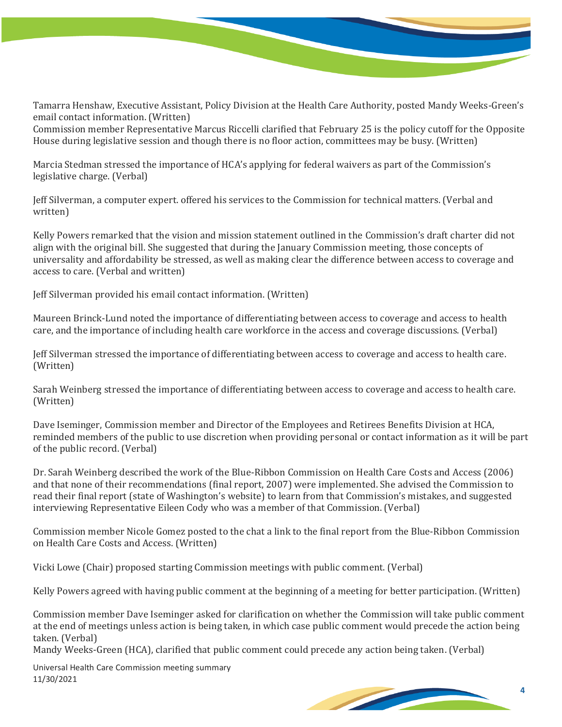Tamarra Henshaw, Executive Assistant, Policy Division at the Health Care Authority, posted Mandy Weeks-Green's email contact information. (Written)

Commission member Representative Marcus Riccelli clarified that February 25 is the policy cutoff for the Opposite House during legislative session and though there is no floor action, committees may be busy. (Written)

Marcia Stedman stressed the importance of HCA's applying for federal waivers as part of the Commission's legislative charge. (Verbal)

Jeff Silverman, a computer expert. offered his services to the Commission for technical matters. (Verbal and written)

Kelly Powers remarked that the vision and mission statement outlined in the Commission's draft charter did not align with the original bill. She suggested that during the January Commission meeting, those concepts of universality and affordability be stressed, as well as making clear the difference between access to coverage and access to care. (Verbal and written)

Jeff Silverman provided his email contact information. (Written)

Maureen Brinck-Lund noted the importance of differentiating between access to coverage and access to health care, and the importance of including health care workforce in the access and coverage discussions. (Verbal)

Jeff Silverman stressed the importance of differentiating between access to coverage and access to health care. (Written)

Sarah Weinberg stressed the importance of differentiating between access to coverage and access to health care. (Written)

Dave Iseminger, Commission member and Director of the Employees and Retirees Benefits Division at HCA, reminded members of the public to use discretion when providing personal or contact information as it will be part of the public record. (Verbal)

Dr. Sarah Weinberg described the work of the Blue-Ribbon Commission on Health Care Costs and Access (2006) and that none of their recommendations (final report, 2007) were implemented. She advised the Commission to read their final report (state of Washington's website) to learn from that Commission's mistakes, and suggested interviewing Representative Eileen Cody who was a member of that Commission. (Verbal)

Commission member Nicole Gomez posted to the chat a link to the final report from the Blue-Ribbon Commission on Health Care Costs and Access. (Written)

Vicki Lowe (Chair) proposed starting Commission meetings with public comment. (Verbal)

Kelly Powers agreed with having public comment at the beginning of a meeting for better participation. (Written)

Commission member Dave Iseminger asked for clarification on whether the Commission will take public comment at the end of meetings unless action is being taken, in which case public comment would precede the action being taken. (Verbal)

Mandy Weeks-Green (HCA), clarified that public comment could precede any action being taken. (Verbal)

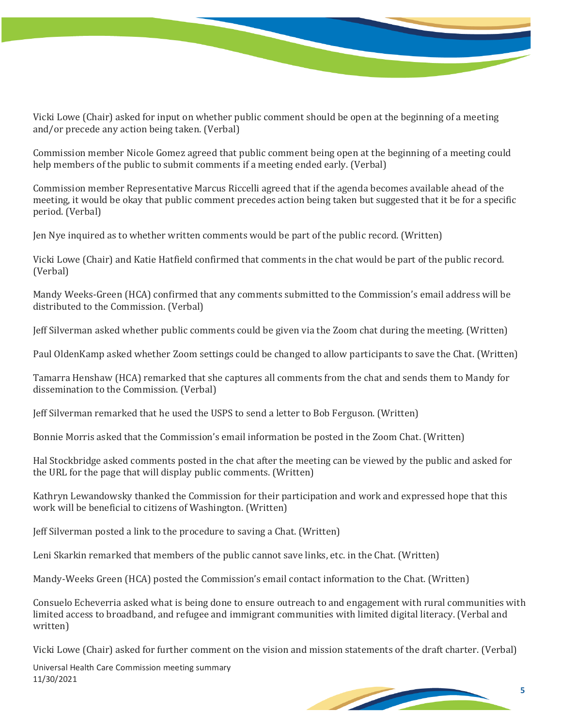

Vicki Lowe (Chair) asked for input on whether public comment should be open at the beginning of a meeting and/or precede any action being taken. (Verbal)

Commission member Nicole Gomez agreed that public comment being open at the beginning of a meeting could help members of the public to submit comments if a meeting ended early. (Verbal)

Commission member Representative Marcus Riccelli agreed that if the agenda becomes available ahead of the meeting, it would be okay that public comment precedes action being taken but suggested that it be for a specific period. (Verbal)

Jen Nye inquired as to whether written comments would be part of the public record. (Written)

Vicki Lowe (Chair) and Katie Hatfield confirmed that comments in the chat would be part of the public record. (Verbal)

Mandy Weeks-Green (HCA) confirmed that any comments submitted to the Commission's email address will be distributed to the Commission. (Verbal)

Jeff Silverman asked whether public comments could be given via the Zoom chat during the meeting. (Written)

Paul OldenKamp asked whether Zoom settings could be changed to allow participants to save the Chat. (Written)

Tamarra Henshaw (HCA) remarked that she captures all comments from the chat and sends them to Mandy for dissemination to the Commission. (Verbal)

Jeff Silverman remarked that he used the USPS to send a letter to Bob Ferguson. (Written)

Bonnie Morris asked that the Commission's email information be posted in the Zoom Chat. (Written)

Hal Stockbridge asked comments posted in the chat after the meeting can be viewed by the public and asked for the URL for the page that will display public comments. (Written)

Kathryn Lewandowsky thanked the Commission for their participation and work and expressed hope that this work will be beneficial to citizens of Washington. (Written)

Jeff Silverman posted a link to the procedure to saving a Chat. (Written)

Leni Skarkin remarked that members of the public cannot save links, etc. in the Chat. (Written)

Mandy-Weeks Green (HCA) posted the Commission's email contact information to the Chat. (Written)

Consuelo Echeverria asked what is being done to ensure outreach to and engagement with rural communities with limited access to broadband, and refugee and immigrant communities with limited digital literacy. (Verbal and written)

Vicki Lowe (Chair) asked for further comment on the vision and mission statements of the draft charter. (Verbal)